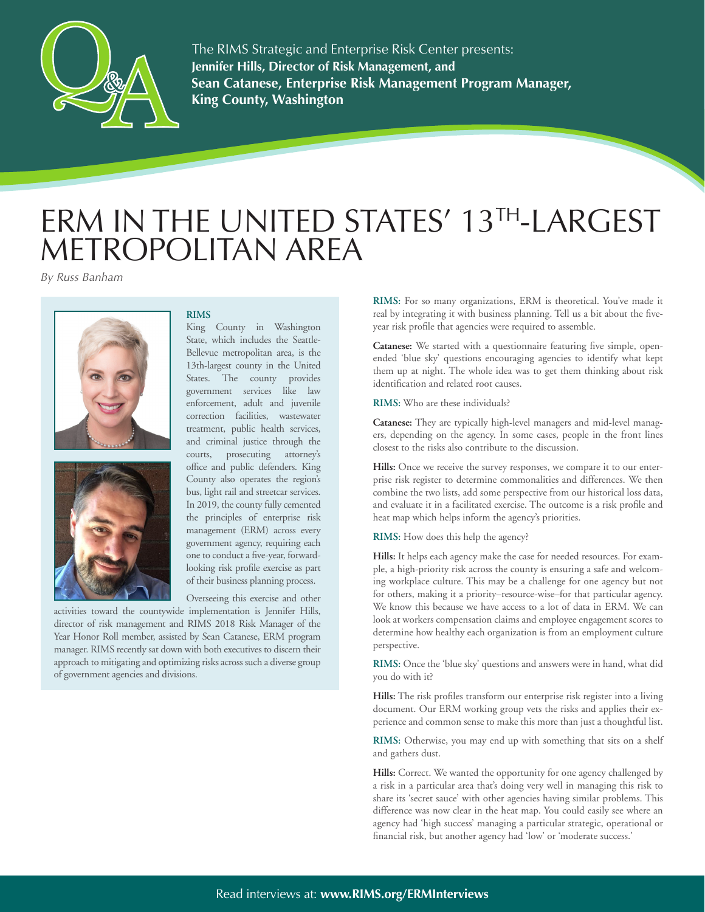

**Jennifer Hills, Director of Risk Management, and Sean Catanese, Enterprise Risk Management Program Manager, King County, Washington** The RIMS Strategic and Enterprise Risk Center presents:

## ERM IN THE UNITED STATES' 13TH-LARGEST METROPOLITAN AREA

*By Russ Banham*





## **RIMS**

King County in Washington State, which includes the Seattle-Bellevue metropolitan area, is the 13th-largest county in the United States. The county provides government services like law enforcement, adult and juvenile correction facilities, wastewater treatment, public health services, and criminal justice through the courts, prosecuting attorney's office and public defenders. King County also operates the region's bus, light rail and streetcar services. In 2019, the county fully cemented the principles of enterprise risk management (ERM) across every government agency, requiring each one to conduct a five-year, forwardlooking risk profile exercise as part of their business planning process.

Overseeing this exercise and other

activities toward the countywide implementation is Jennifer Hills, director of risk management and RIMS 2018 Risk Manager of the Year Honor Roll member, assisted by Sean Catanese, ERM program manager. RIMS recently sat down with both executives to discern their approach to mitigating and optimizing risks across such a diverse group of government agencies and divisions.

**RIMS:** For so many organizations, ERM is theoretical. You've made it real by integrating it with business planning. Tell us a bit about the fiveyear risk profile that agencies were required to assemble.

**Catanese:** We started with a questionnaire featuring five simple, openended 'blue sky' questions encouraging agencies to identify what kept them up at night. The whole idea was to get them thinking about risk identification and related root causes.

**RIMS:** Who are these individuals?

**Catanese:** They are typically high-level managers and mid-level managers, depending on the agency. In some cases, people in the front lines closest to the risks also contribute to the discussion.

**Hills:** Once we receive the survey responses, we compare it to our enterprise risk register to determine commonalities and differences. We then combine the two lists, add some perspective from our historical loss data, and evaluate it in a facilitated exercise. The outcome is a risk profile and heat map which helps inform the agency's priorities.

**RIMS:** How does this help the agency?

**Hills:** It helps each agency make the case for needed resources. For example, a high-priority risk across the county is ensuring a safe and welcoming workplace culture. This may be a challenge for one agency but not for others, making it a priority–resource-wise–for that particular agency. We know this because we have access to a lot of data in ERM. We can look at workers compensation claims and employee engagement scores to determine how healthy each organization is from an employment culture perspective.

**RIMS:** Once the 'blue sky' questions and answers were in hand, what did you do with it?

**Hills:** The risk profiles transform our enterprise risk register into a living document. Our ERM working group vets the risks and applies their experience and common sense to make this more than just a thoughtful list.

**RIMS:** Otherwise, you may end up with something that sits on a shelf and gathers dust.

**Hills:** Correct. We wanted the opportunity for one agency challenged by a risk in a particular area that's doing very well in managing this risk to share its 'secret sauce' with other agencies having similar problems. This difference was now clear in the heat map. You could easily see where an agency had 'high success' managing a particular strategic, operational or financial risk, but another agency had 'low' or 'moderate success.'